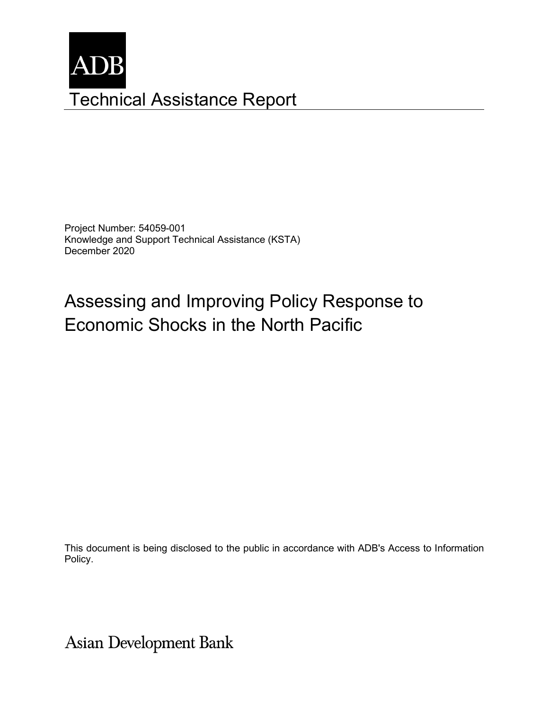

Project Number: 54059-001 Knowledge and Support Technical Assistance (KSTA) December 2020

# Assessing and Improving Policy Response to Economic Shocks in the North Pacific

This document is being disclosed to the public in accordance with ADB's Access to Information Policy.

**Asian Development Bank**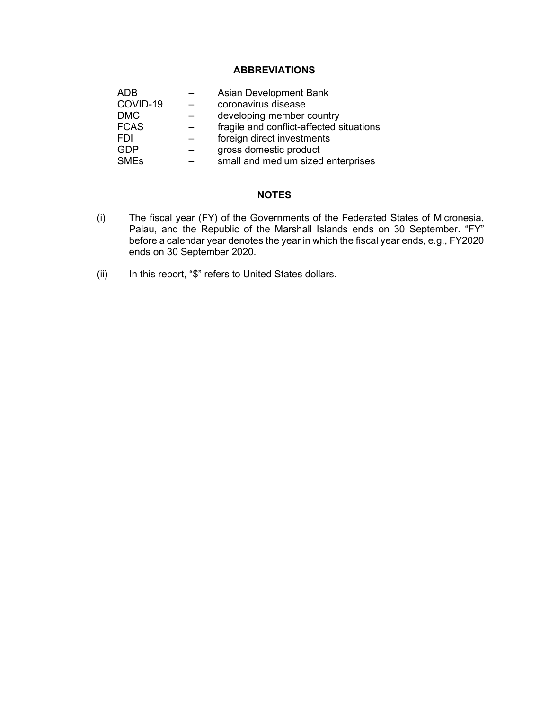## **ABBREVIATIONS**

| ADB                    | Asian Development Bank                   |
|------------------------|------------------------------------------|
| COVID-19               | coronavirus disease                      |
| <b>DMC</b>             | developing member country                |
| <b>FCAS</b>            | fragile and conflict-affected situations |
| FDI                    | foreign direct investments               |
| GDP                    | gross domestic product                   |
| <b>SME<sub>s</sub></b> | small and medium sized enterprises       |

#### **NOTES**

- (i) The fiscal year (FY) of the Governments of the Federated States of Micronesia, Palau, and the Republic of the Marshall Islands ends on 30 September. "FY" before a calendar year denotes the year in which the fiscal year ends, e.g., FY2020 ends on 30 September 2020.
- (ii) In this report, "\$" refers to United States dollars.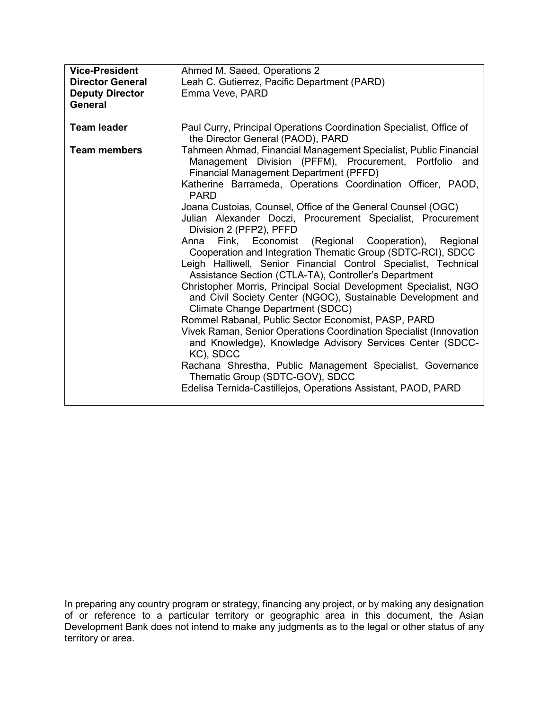| <b>Vice-President</b><br><b>Director General</b><br><b>Deputy Director</b><br><b>General</b> | Ahmed M. Saeed, Operations 2<br>Leah C. Gutierrez, Pacific Department (PARD)<br>Emma Veve, PARD                                                                                                                                                                                                                                                                                                                                                                                                                                                                                                                                                                                                                                                                                                                                                                                                                                                                                                                                                                                                                                                                                                                                 |  |  |
|----------------------------------------------------------------------------------------------|---------------------------------------------------------------------------------------------------------------------------------------------------------------------------------------------------------------------------------------------------------------------------------------------------------------------------------------------------------------------------------------------------------------------------------------------------------------------------------------------------------------------------------------------------------------------------------------------------------------------------------------------------------------------------------------------------------------------------------------------------------------------------------------------------------------------------------------------------------------------------------------------------------------------------------------------------------------------------------------------------------------------------------------------------------------------------------------------------------------------------------------------------------------------------------------------------------------------------------|--|--|
| <b>Team leader</b>                                                                           | Paul Curry, Principal Operations Coordination Specialist, Office of<br>the Director General (PAOD), PARD                                                                                                                                                                                                                                                                                                                                                                                                                                                                                                                                                                                                                                                                                                                                                                                                                                                                                                                                                                                                                                                                                                                        |  |  |
| <b>Team members</b>                                                                          | Tahmeen Ahmad, Financial Management Specialist, Public Financial<br>Management Division (PFFM), Procurement, Portfolio and<br><b>Financial Management Department (PFFD)</b><br>Katherine Barrameda, Operations Coordination Officer, PAOD,<br><b>PARD</b><br>Joana Custoias, Counsel, Office of the General Counsel (OGC)<br>Julian Alexander Doczi, Procurement Specialist, Procurement<br>Division 2 (PFP2), PFFD<br>Anna Fink, Economist (Regional Cooperation), Regional<br>Cooperation and Integration Thematic Group (SDTC-RCI), SDCC<br>Leigh Halliwell, Senior Financial Control Specialist, Technical<br>Assistance Section (CTLA-TA), Controller's Department<br>Christopher Morris, Principal Social Development Specialist, NGO<br>and Civil Society Center (NGOC), Sustainable Development and<br><b>Climate Change Department (SDCC)</b><br>Rommel Rabanal, Public Sector Economist, PASP, PARD<br>Vivek Raman, Senior Operations Coordination Specialist (Innovation<br>and Knowledge), Knowledge Advisory Services Center (SDCC-<br>KC), SDCC<br>Rachana Shrestha, Public Management Specialist, Governance<br>Thematic Group (SDTC-GOV), SDCC<br>Edelisa Ternida-Castillejos, Operations Assistant, PAOD, PARD |  |  |

In preparing any country program or strategy, financing any project, or by making any designation of or reference to a particular territory or geographic area in this document, the Asian Development Bank does not intend to make any judgments as to the legal or other status of any territory or area.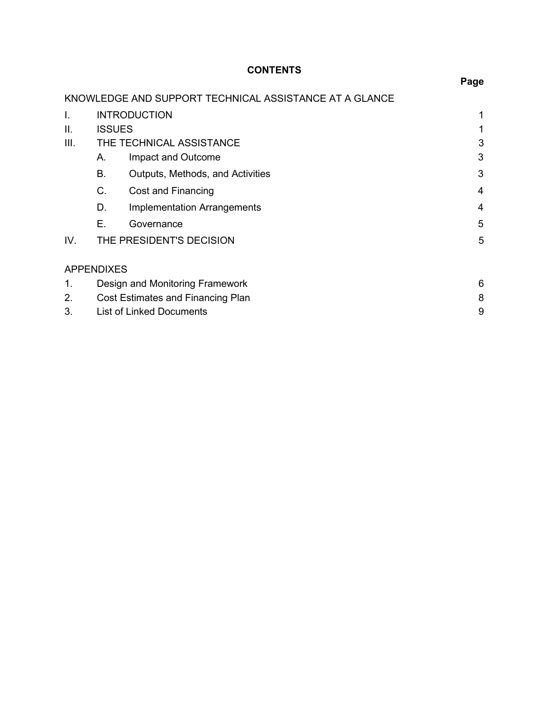# **CONTENTS**

|      |                   |                                                        | Page |
|------|-------------------|--------------------------------------------------------|------|
|      |                   | KNOWLEDGE AND SUPPORT TECHNICAL ASSISTANCE AT A GLANCE |      |
| I.   |                   | <b>INTRODUCTION</b>                                    | 1    |
| II.  | <b>ISSUES</b>     |                                                        |      |
| III. |                   | THE TECHNICAL ASSISTANCE                               | 3    |
|      | А.                | Impact and Outcome                                     | 3    |
|      | В.                | Outputs, Methods, and Activities                       | 3    |
|      | C.                | Cost and Financing                                     | 4    |
|      | D.                | <b>Implementation Arrangements</b>                     | 4    |
|      | Е.                | Governance                                             | 5    |
| IV.  |                   | THE PRESIDENT'S DECISION                               | 5    |
|      | <b>APPENDIXES</b> |                                                        |      |
| 1.   |                   | Design and Monitoring Framework                        | 6    |
| 2.   |                   | Cost Estimates and Financing Plan                      | 8    |
| 3.   |                   | <b>List of Linked Documents</b>                        | 9    |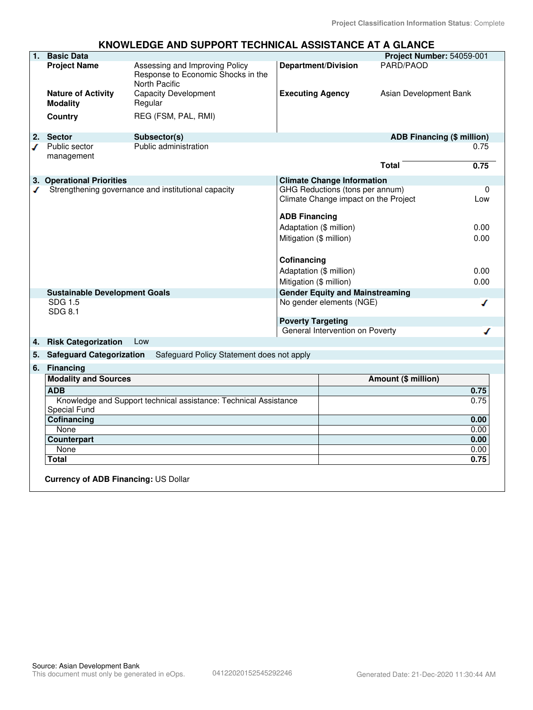### **KNOWLEDGE AND SUPPORT TECHNICAL ASSISTANCE AT A GLANCE**

| 1.                                                       | <b>Basic Data</b>                            |                                                                                                                            |                                                                         |                                        | Project Number: 54059-001  |      |
|----------------------------------------------------------|----------------------------------------------|----------------------------------------------------------------------------------------------------------------------------|-------------------------------------------------------------------------|----------------------------------------|----------------------------|------|
|                                                          | <b>Project Name</b>                          | Assessing and Improving Policy<br><b>Department/Division</b><br>Response to Economic Shocks in the<br><b>North Pacific</b> |                                                                         | PARD/PAOD                              |                            |      |
|                                                          | <b>Nature of Activity</b><br><b>Modality</b> | <b>Capacity Development</b><br>Regular                                                                                     | <b>Executing Agency</b>                                                 |                                        | Asian Development Bank     |      |
|                                                          | Country                                      | REG (FSM, PAL, RMI)                                                                                                        |                                                                         |                                        |                            |      |
| 2.<br>ℐ                                                  | <b>Sector</b><br>Public sector<br>management | Subsector(s)<br>Public administration                                                                                      |                                                                         |                                        | ADB Financing (\$ million) | 0.75 |
|                                                          |                                              |                                                                                                                            |                                                                         |                                        | <b>Total</b>               | 0.75 |
|                                                          | 3. Operational Priorities                    |                                                                                                                            |                                                                         | <b>Climate Change Information</b>      |                            |      |
| Strengthening governance and institutional capacity<br>ℐ |                                              | <b>ADB Financing</b>                                                                                                       | GHG Reductions (tons per annum)<br>Climate Change impact on the Project |                                        | 0<br>Low                   |      |
|                                                          |                                              |                                                                                                                            | Adaptation (\$ million)                                                 |                                        |                            | 0.00 |
|                                                          |                                              |                                                                                                                            | Mitigation (\$ million)                                                 |                                        |                            | 0.00 |
|                                                          |                                              |                                                                                                                            |                                                                         |                                        |                            |      |
|                                                          |                                              |                                                                                                                            | Cofinancing                                                             |                                        |                            |      |
|                                                          |                                              |                                                                                                                            | Adaptation (\$ million)                                                 |                                        |                            | 0.00 |
|                                                          |                                              |                                                                                                                            | Mitigation (\$ million)                                                 |                                        |                            | 0.00 |
|                                                          | <b>Sustainable Development Goals</b>         |                                                                                                                            |                                                                         | <b>Gender Equity and Mainstreaming</b> |                            |      |
|                                                          | SDG 1.5<br>SDG 8.1                           |                                                                                                                            |                                                                         | No gender elements (NGE)               |                            | ◢    |
|                                                          |                                              |                                                                                                                            | <b>Poverty Targeting</b>                                                |                                        |                            |      |
|                                                          |                                              |                                                                                                                            | General Intervention on Poverty<br>ℐ                                    |                                        |                            |      |
| 4.                                                       | <b>Risk Categorization</b>                   | Low                                                                                                                        |                                                                         |                                        |                            |      |
| 5.                                                       | <b>Safeguard Categorization</b>              | Safeguard Policy Statement does not apply                                                                                  |                                                                         |                                        |                            |      |
| 6.                                                       | <b>Financing</b>                             |                                                                                                                            |                                                                         |                                        |                            |      |
|                                                          | <b>Modality and Sources</b>                  |                                                                                                                            |                                                                         |                                        | Amount (\$ million)        |      |
|                                                          | <b>ADB</b>                                   |                                                                                                                            |                                                                         |                                        |                            | 0.75 |
|                                                          | <b>Special Fund</b>                          | Knowledge and Support technical assistance: Technical Assistance                                                           |                                                                         |                                        |                            | 0.75 |
|                                                          | Cofinancing                                  |                                                                                                                            |                                                                         |                                        |                            | 0.00 |
|                                                          | None                                         |                                                                                                                            |                                                                         |                                        |                            | 0.00 |
|                                                          | Counterpart                                  |                                                                                                                            |                                                                         |                                        |                            | 0.00 |
|                                                          | None                                         |                                                                                                                            |                                                                         |                                        |                            | 0.00 |
|                                                          | Total                                        |                                                                                                                            |                                                                         |                                        |                            | 0.75 |
|                                                          | <b>Currency of ADB Financing: US Dollar</b>  |                                                                                                                            |                                                                         |                                        |                            |      |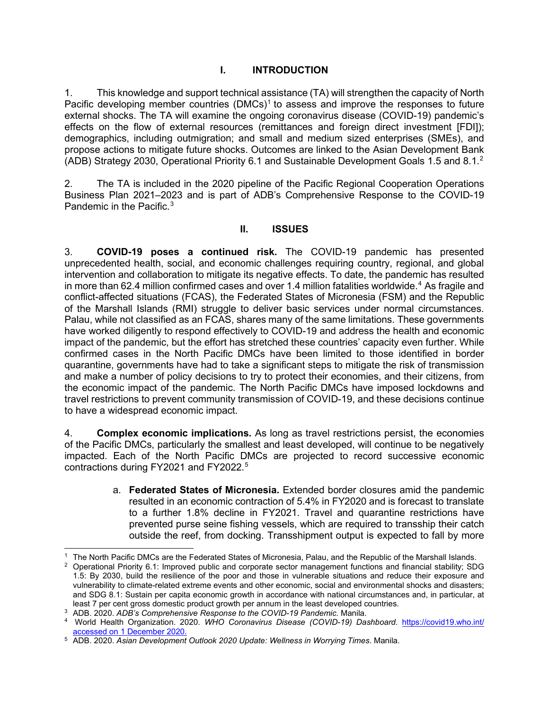## **I. INTRODUCTION**

1. This knowledge and support technical assistance (TA) will strengthen the capacity of North Pacific developing member countries (DMCs)<sup>[1](#page-8-0)</sup> to assess and improve the responses to future external shocks. The TA will examine the ongoing coronavirus disease (COVID-19) pandemic's effects on the flow of external resources (remittances and foreign direct investment [FDI]); demographics, including outmigration; and small and medium sized enterprises (SMEs), and propose actions to mitigate future shocks. Outcomes are linked to the Asian Development Bank (ADB) Strategy [2](#page-8-1)030, Operational Priority 6.1 and Sustainable Development Goals 1.5 and 8.1.<sup>2</sup>

2. The TA is included in the 2020 pipeline of the Pacific Regional Cooperation Operations Business Plan 2021–2023 and is part of ADB's Comprehensive Response to the COVID-19 Pandemic in the Pacific.[3](#page-8-2)

### **II. ISSUES**

3. **COVID-19 poses a continued risk.** The COVID-19 pandemic has presented unprecedented health, social, and economic challenges requiring country, regional, and global intervention and collaboration to mitigate its negative effects. To date, the pandemic has resulted in more than 62.4 million confirmed cases and over 1.4 million fatalities worldwide. [4](#page-8-3) As fragile and conflict-affected situations (FCAS), the Federated States of Micronesia (FSM) and the Republic of the Marshall Islands (RMI) struggle to deliver basic services under normal circumstances. Palau, while not classified as an FCAS, shares many of the same limitations. These governments have worked diligently to respond effectively to COVID-19 and address the health and economic impact of the pandemic, but the effort has stretched these countries' capacity even further. While confirmed cases in the North Pacific DMCs have been limited to those identified in border quarantine, governments have had to take a significant steps to mitigate the risk of transmission and make a number of policy decisions to try to protect their economies, and their citizens, from the economic impact of the pandemic. The North Pacific DMCs have imposed lockdowns and travel restrictions to prevent community transmission of COVID-19, and these decisions continue to have a widespread economic impact.

4. **Complex economic implications.** As long as travel restrictions persist, the economies of the Pacific DMCs, particularly the smallest and least developed, will continue to be negatively impacted. Each of the North Pacific DMCs are projected to record successive economic contractions during FY2021 and FY2022.<sup>[5](#page-8-4)</sup>

> a. **Federated States of Micronesia.** Extended border closures amid the pandemic resulted in an economic contraction of 5.4% in FY2020 and is forecast to translate to a further 1.8% decline in FY2021. Travel and quarantine restrictions have prevented purse seine fishing vessels, which are required to transship their catch outside the reef, from docking. Transshipment output is expected to fall by more

<span id="page-8-0"></span> $^{\rm 1}\,$  The North Pacific DMCs are the Federated States of Micronesia, Palau, and the Republic of the Marshall Islands.

<span id="page-8-1"></span> $2$  Operational Priority 6.1: Improved public and corporate sector management functions and financial stability; SDG 1.5: By 2030, build the resilience of the poor and those in vulnerable situations and reduce their exposure and vulnerability to climate-related extreme events and other economic, social and environmental shocks and disasters; and SDG 8.1: Sustain per capita economic growth in accordance with national circumstances and, in particular, at least 7 per cent gross domestic product growth per annum in the least developed countries.

<span id="page-8-2"></span><sup>3</sup> ADB. 2020. *ADB's Comprehensive Response to the COVID-19 Pandemic.* Manila.

<span id="page-8-3"></span><sup>4</sup> World Health Organization. 2020. *WHO Coronavirus Disease (COVID-19) Dashboard*. https://covid19.who.int/ accessed on 1 December 2020.

<span id="page-8-4"></span><sup>5</sup> ADB. 2020. *Asian Development Outlook 2020 Update: Wellness in Worrying Times*. Manila.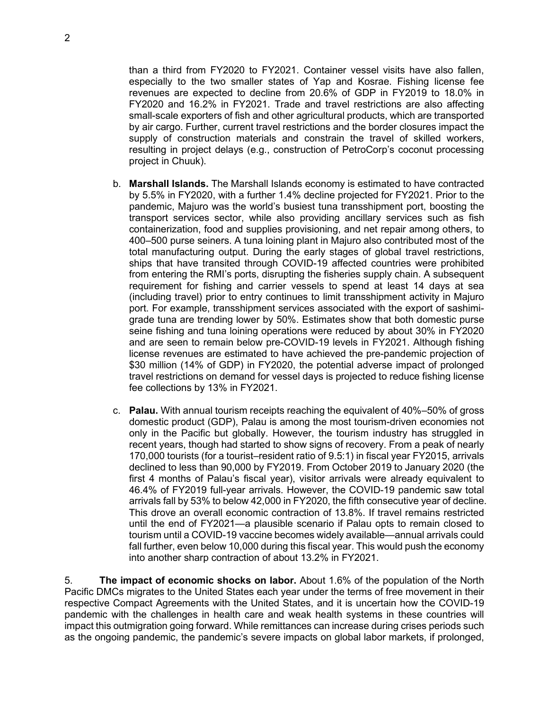than a third from FY2020 to FY2021. Container vessel visits have also fallen, especially to the two smaller states of Yap and Kosrae. Fishing license fee revenues are expected to decline from 20.6% of GDP in FY2019 to 18.0% in FY2020 and 16.2% in FY2021. Trade and travel restrictions are also affecting small-scale exporters of fish and other agricultural products, which are transported by air cargo. Further, current travel restrictions and the border closures impact the supply of construction materials and constrain the travel of skilled workers, resulting in project delays (e.g., construction of PetroCorp's coconut processing project in Chuuk).

- b. **Marshall Islands.** The Marshall Islands economy is estimated to have contracted by 5.5% in FY2020, with a further 1.4% decline projected for FY2021. Prior to the pandemic, Majuro was the world's busiest tuna transshipment port, boosting the transport services sector, while also providing ancillary services such as fish containerization, food and supplies provisioning, and net repair among others, to 400–500 purse seiners. A tuna loining plant in Majuro also contributed most of the total manufacturing output. During the early stages of global travel restrictions, ships that have transited through COVID-19 affected countries were prohibited from entering the RMI's ports, disrupting the fisheries supply chain. A subsequent requirement for fishing and carrier vessels to spend at least 14 days at sea (including travel) prior to entry continues to limit transshipment activity in Majuro port. For example, transshipment services associated with the export of sashimigrade tuna are trending lower by 50%. Estimates show that both domestic purse seine fishing and tuna loining operations were reduced by about 30% in FY2020 and are seen to remain below pre-COVID-19 levels in FY2021. Although fishing license revenues are estimated to have achieved the pre-pandemic projection of \$30 million (14% of GDP) in FY2020, the potential adverse impact of prolonged travel restrictions on demand for vessel days is projected to reduce fishing license fee collections by 13% in FY2021.
- c. **Palau.** With annual tourism receipts reaching the equivalent of 40%–50% of gross domestic product (GDP), Palau is among the most tourism-driven economies not only in the Pacific but globally. However, the tourism industry has struggled in recent years, though had started to show signs of recovery. From a peak of nearly 170,000 tourists (for a tourist–resident ratio of 9.5:1) in fiscal year FY2015, arrivals declined to less than 90,000 by FY2019. From October 2019 to January 2020 (the first 4 months of Palau's fiscal year), visitor arrivals were already equivalent to 46.4% of FY2019 full-year arrivals. However, the COVID-19 pandemic saw total arrivals fall by 53% to below 42,000 in FY2020, the fifth consecutive year of decline. This drove an overall economic contraction of 13.8%. If travel remains restricted until the end of FY2021—a plausible scenario if Palau opts to remain closed to tourism until a COVID-19 vaccine becomes widely available—annual arrivals could fall further, even below 10,000 during this fiscal year. This would push the economy into another sharp contraction of about 13.2% in FY2021.

5. **The impact of economic shocks on labor.** About 1.6% of the population of the North Pacific DMCs migrates to the United States each year under the terms of free movement in their respective Compact Agreements with the United States, and it is uncertain how the COVID-19 pandemic with the challenges in health care and weak health systems in these countries will impact this outmigration going forward. While remittances can increase during crises periods such as the ongoing pandemic, the pandemic's severe impacts on global labor markets, if prolonged,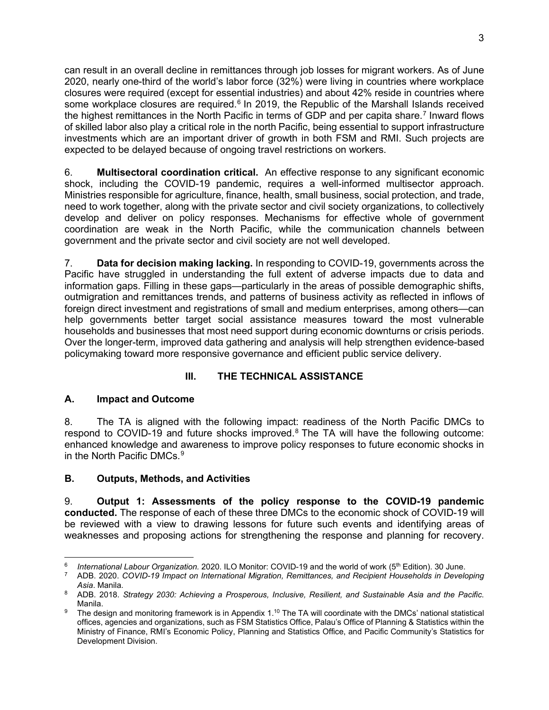can result in an overall decline in remittances through job losses for migrant workers. As of June 2020, nearly one-third of the world's labor force (32%) were living in countries where workplace closures were required (except for essential industries) and about 42% reside in countries where some workplace closures are required.<sup>[6](#page-10-0)</sup> In 2019, the Republic of the Marshall Islands received the highest remittances in the North Pacific in terms of GDP and per capita share.<sup>[7](#page-10-1)</sup> Inward flows of skilled labor also play a critical role in the north Pacific, being essential to support infrastructure investments which are an important driver of growth in both FSM and RMI. Such projects are expected to be delayed because of ongoing travel restrictions on workers.

6. **Multisectoral coordination critical.** An effective response to any significant economic shock, including the COVID-19 pandemic, requires a well-informed multisector approach. Ministries responsible for agriculture, finance, health, small business, social protection, and trade, need to work together, along with the private sector and civil society organizations, to collectively develop and deliver on policy responses. Mechanisms for effective whole of government coordination are weak in the North Pacific, while the communication channels between government and the private sector and civil society are not well developed.

7. **Data for decision making lacking.** In responding to COVID-19, governments across the Pacific have struggled in understanding the full extent of adverse impacts due to data and information gaps. Filling in these gaps—particularly in the areas of possible demographic shifts, outmigration and remittances trends, and patterns of business activity as reflected in inflows of foreign direct investment and registrations of small and medium enterprises, among others—can help governments better target social assistance measures toward the most vulnerable households and businesses that most need support during economic downturns or crisis periods. Over the longer-term, improved data gathering and analysis will help strengthen evidence-based policymaking toward more responsive governance and efficient public service delivery.

## **III. THE TECHNICAL ASSISTANCE**

## **A. Impact and Outcome**

8. The TA is aligned with the following impact: readiness of the North Pacific DMCs to respond to COVID-19 and future shocks improved.<sup>[8](#page-10-2)</sup> The TA will have the following outcome: enhanced knowledge and awareness to improve policy responses to future economic shocks in in the North Pacific DMCs. $^9$  $^9$ 

# **B. Outputs, Methods, and Activities**

9. **Output 1: Assessments of the policy response to the COVID-19 pandemic conducted.** The response of each of these three DMCs to the economic shock of COVID-19 will be reviewed with a view to drawing lessons for future such events and identifying areas of weaknesses and proposing actions for strengthening the response and planning for recovery.

<sup>6</sup> *International Labour Organization.* 2020. ILO Monitor: COVID-19 and the world of work (5<sup>th</sup> Edition). 30 June.

<sup>7</sup> ADB. 2020. *COVID-19 Impact on International Migration, Remittances, and Recipient Households in Developing Asia*. Manila.

<span id="page-10-0"></span><sup>8</sup> ADB. 2018. *Strategy 2030: Achieving a Prosperous, Inclusive, Resilient, and Sustainable Asia and the Pacific*. Manila.

<span id="page-10-3"></span><span id="page-10-2"></span><span id="page-10-1"></span><sup>9</sup> The design and monitoring framework is in Appendix 1.<sup>10</sup> The TA will coordinate with the DMCs' national statistical offices, agencies and organizations, such as FSM Statistics Office, Palau's Office of Planning & Statistics within the Ministry of Finance, RMI's Economic Policy, Planning and Statistics Office, and Pacific Community's Statistics for Development Division.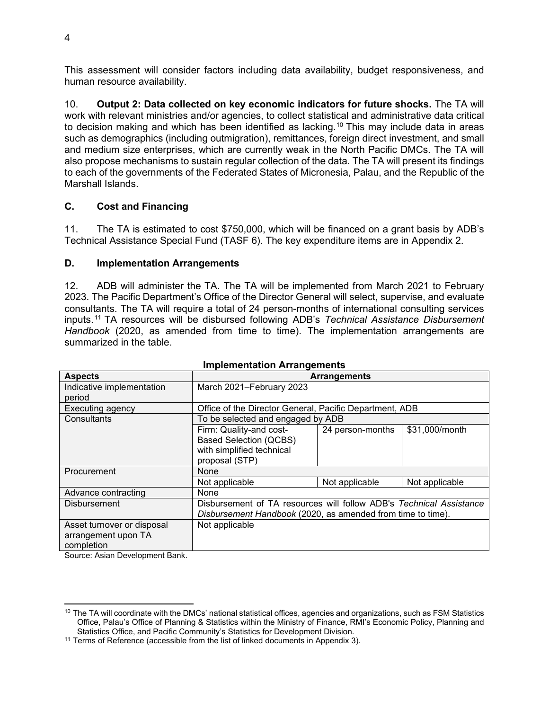This assessment will consider factors including data availability, budget responsiveness, and human resource availability.

10. **Output 2: Data collected on key economic indicators for future shocks.** The TA will work with relevant ministries and/or agencies, to collect statistical and administrative data critical to decision making and which has been identified as lacking.<sup>[10](#page-11-0)</sup> This may include data in areas such as demographics (including outmigration), remittances, foreign direct investment, and small and medium size enterprises, which are currently weak in the North Pacific DMCs. The TA will also propose mechanisms to sustain regular collection of the data. The TA will present its findings to each of the governments of the Federated States of Micronesia, Palau, and the Republic of the Marshall Islands.

## **C. Cost and Financing**

11. The TA is estimated to cost \$750,000, which will be financed on a grant basis by ADB's Technical Assistance Special Fund (TASF 6). The key expenditure items are in Appendix 2.

### **D. Implementation Arrangements**

12. ADB will administer the TA. The TA will be implemented from March 2021 to February 2023. The Pacific Department's Office of the Director General will select, supervise, and evaluate consultants. The TA will require a total of 24 person-months of international consulting services inputs. [11](#page-11-1) TA resources will be disbursed following ADB's *Technical Assistance Disbursement Handbook* (2020, as amended from time to time). The implementation arrangements are summarized in the table.

| <b>Aspects</b>                                                  | <b>Arrangements</b>                                                                                                                |                  |                |  |
|-----------------------------------------------------------------|------------------------------------------------------------------------------------------------------------------------------------|------------------|----------------|--|
| Indicative implementation                                       | March 2021-February 2023                                                                                                           |                  |                |  |
| period                                                          |                                                                                                                                    |                  |                |  |
| <b>Executing agency</b>                                         | Office of the Director General, Pacific Department, ADB                                                                            |                  |                |  |
| Consultants                                                     | To be selected and engaged by ADB                                                                                                  |                  |                |  |
|                                                                 | Firm: Quality-and cost-<br><b>Based Selection (QCBS)</b><br>with simplified technical<br>proposal (STP)                            | 24 person-months | \$31,000/month |  |
| Procurement                                                     | None                                                                                                                               |                  |                |  |
|                                                                 | Not applicable                                                                                                                     | Not applicable   | Not applicable |  |
| Advance contracting                                             | None                                                                                                                               |                  |                |  |
| <b>Disbursement</b>                                             | Disbursement of TA resources will follow ADB's Technical Assistance<br>Disbursement Handbook (2020, as amended from time to time). |                  |                |  |
| Asset turnover or disposal<br>arrangement upon TA<br>completion | Not applicable                                                                                                                     |                  |                |  |

### **Implementation Arrangements**

Source: Asian Development Bank.

<span id="page-11-0"></span> $10$  The TA will coordinate with the DMCs' national statistical offices, agencies and organizations, such as FSM Statistics Office, Palau's Office of Planning & Statistics within the Ministry of Finance, RMI's Economic Policy, Planning and Statistics Office, and Pacific Community's Statistics for Development Division.

<span id="page-11-1"></span> $11$  Terms of Reference (accessible from the list of linked documents in Appendix 3).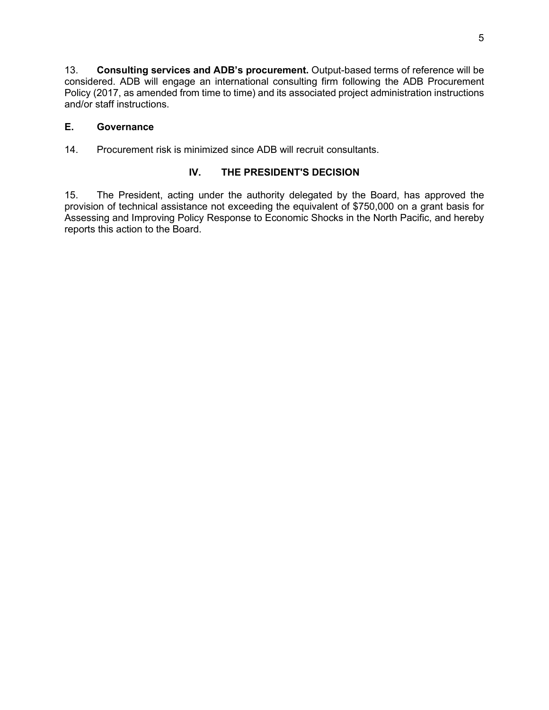13. **Consulting services and ADB's procurement.** Output-based terms of reference will be considered. ADB will engage an international consulting firm following the ADB Procurement Policy (2017, as amended from time to time) and its associated project administration instructions and/or staff instructions.

## **E. Governance**

14. Procurement risk is minimized since ADB will recruit consultants.

## **IV. THE PRESIDENT'S DECISION**

15. The President, acting under the authority delegated by the Board, has approved the provision of technical assistance not exceeding the equivalent of \$750,000 on a grant basis for Assessing and Improving Policy Response to Economic Shocks in the North Pacific, and hereby reports this action to the Board.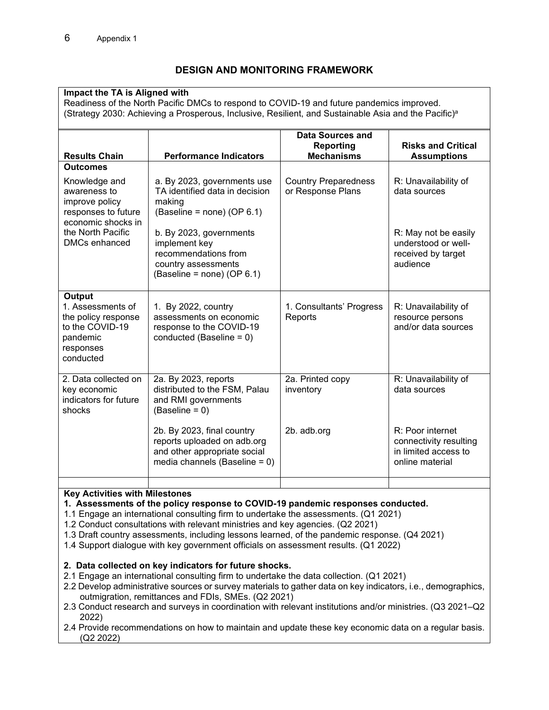## **DESIGN AND MONITORING FRAMEWORK**

## **Impact the TA is Aligned with**

Readiness of the North Pacific DMCs to respond to COVID-19 and future pandemics improved. (Strategy 2030: Achieving a Prosperous, Inclusive, Resilient, and Sustainable Asia and the Pacific) a

| <b>Results Chain</b>                                                                                        | <b>Performance Indicators</b>                                                                                                 | <b>Data Sources and</b><br><b>Reporting</b><br><b>Mechanisms</b> | <b>Risks and Critical</b><br><b>Assumptions</b>                                       |
|-------------------------------------------------------------------------------------------------------------|-------------------------------------------------------------------------------------------------------------------------------|------------------------------------------------------------------|---------------------------------------------------------------------------------------|
| <b>Outcomes</b>                                                                                             |                                                                                                                               |                                                                  |                                                                                       |
| Knowledge and<br>awareness to<br>improve policy<br>responses to future<br>economic shocks in                | a. By 2023, governments use<br>TA identified data in decision<br>making<br>(Baseline = none) (OP $6.1$ )                      | <b>Country Preparedness</b><br>or Response Plans                 | R: Unavailability of<br>data sources                                                  |
| the North Pacific<br><b>DMCs enhanced</b>                                                                   | b. By 2023, governments<br>implement key<br>recommendations from<br>country assessments<br>(Baseline = none) (OP 6.1)         |                                                                  | R: May not be easily<br>understood or well-<br>received by target<br>audience         |
| Output<br>1. Assessments of<br>the policy response<br>to the COVID-19<br>pandemic<br>responses<br>conducted | 1. By 2022, country<br>assessments on economic<br>response to the COVID-19<br>conducted (Baseline = $0$ )                     | 1. Consultants' Progress<br>Reports                              | R: Unavailability of<br>resource persons<br>and/or data sources                       |
| 2. Data collected on<br>key economic<br>indicators for future<br>shocks                                     | 2a. By 2023, reports<br>distributed to the FSM, Palau<br>and RMI governments<br>$(Baseline = 0)$                              | 2a. Printed copy<br>inventory                                    | R: Unavailability of<br>data sources                                                  |
|                                                                                                             | 2b. By 2023, final country<br>reports uploaded on adb.org<br>and other appropriate social<br>media channels (Baseline = $0$ ) | 2b. adb.org                                                      | R: Poor internet<br>connectivity resulting<br>in limited access to<br>online material |
|                                                                                                             |                                                                                                                               |                                                                  |                                                                                       |

#### **Key Activities with Milestones**

**1. Assessments of the policy response to COVID-19 pandemic responses conducted.** 

- 1.1 Engage an international consulting firm to undertake the assessments. (Q1 2021)
- 1.2 Conduct consultations with relevant ministries and key agencies. (Q2 2021)
- 1.3 Draft country assessments, including lessons learned, of the pandemic response. (Q4 2021)
- 1.4 Support dialogue with key government officials on assessment results. (Q1 2022)

#### **2. Data collected on key indicators for future shocks.**

- 2.1 Engage an international consulting firm to undertake the data collection. (Q1 2021)
- 2.2 Develop administrative sources or survey materials to gather data on key indicators, i.e., demographics, outmigration, remittances and FDIs, SMEs. (Q2 2021)
- 2.3 Conduct research and surveys in coordination with relevant institutions and/or ministries. (Q3 2021–Q2 2022)
- 2.4 Provide recommendations on how to maintain and update these key economic data on a regular basis. (Q2 2022)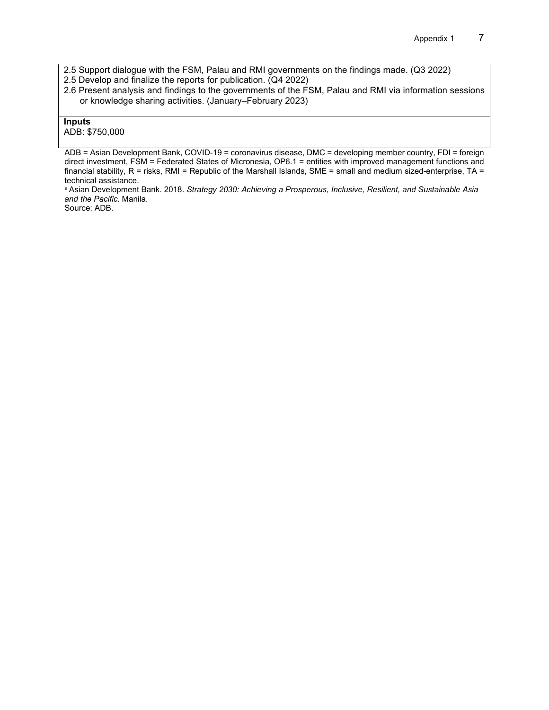2.5 Support dialogue with the FSM, Palau and RMI governments on the findings made. (Q3 2022)

- 2.5 Develop and finalize the reports for publication. (Q4 2022)
- 2.6 Present analysis and findings to the governments of the FSM, Palau and RMI via information sessions or knowledge sharing activities. (January–February 2023)

#### **Inputs**

#### ADB: \$750,000

ADB = Asian Development Bank, COVID-19 = coronavirus disease, DMC = developing member country, FDI = foreign direct investment, FSM = Federated States of Micronesia, OP6.1 = entities with improved management functions and financial stability,  $R =$  risks, RMI = Republic of the Marshall Islands, SME = small and medium sized-enterprise, TA = technical assistance.

a Asian Development Bank. 2018. *Strategy 2030: Achieving a Prosperous, Inclusive, Resilient, and Sustainable Asia and the Pacific*. Manila.

Source: ADB.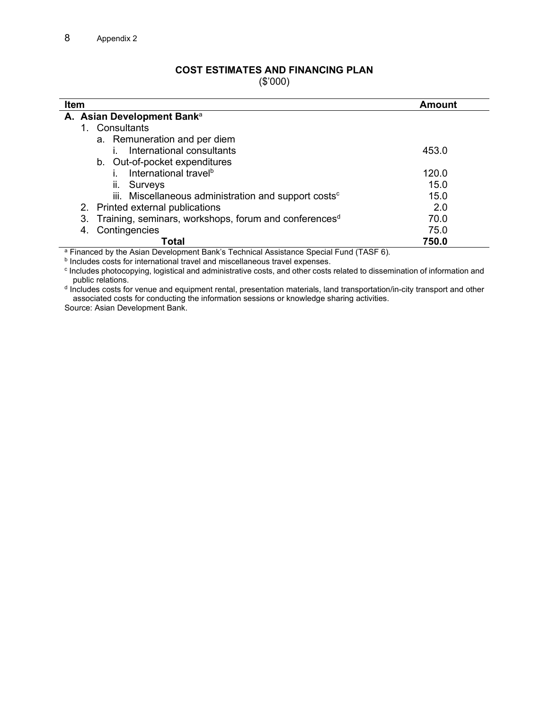## **COST ESTIMATES AND FINANCING PLAN**

(\$'000)

| <b>Item</b>                                                                                     | <b>Amount</b> |  |  |  |  |  |
|-------------------------------------------------------------------------------------------------|---------------|--|--|--|--|--|
| A. Asian Development Bank <sup>a</sup>                                                          |               |  |  |  |  |  |
| 1. Consultants                                                                                  |               |  |  |  |  |  |
| a. Remuneration and per diem                                                                    |               |  |  |  |  |  |
| International consultants                                                                       | 453.0         |  |  |  |  |  |
| b. Out-of-pocket expenditures                                                                   |               |  |  |  |  |  |
| International travel <sup>b</sup>                                                               | 120.0         |  |  |  |  |  |
| Surveys<br>Ш.                                                                                   | 15.0          |  |  |  |  |  |
| iii. Miscellaneous administration and support costs <sup>c</sup>                                | 15.0          |  |  |  |  |  |
| 2. Printed external publications                                                                | 2.0           |  |  |  |  |  |
| 3. Training, seminars, workshops, forum and conferences <sup>d</sup>                            | 70.0          |  |  |  |  |  |
| Contingencies<br>4.                                                                             | 75.0          |  |  |  |  |  |
| Total<br>3 Financed button Asian Development Deptite Technical Assistance Openial Fund (TAOF O) | 750.0         |  |  |  |  |  |

Financed by the Asian Development Bank's Technical Assistance Special Fund (TASF 6).

**b** Includes costs for international travel and miscellaneous travel expenses.

c Includes photocopying, logistical and administrative costs, and other costs related to dissemination of information and public relations.

d Includes costs for venue and equipment rental, presentation materials, land transportation/in-city transport and other associated costs for conducting the information sessions or knowledge sharing activities.

Source: Asian Development Bank.